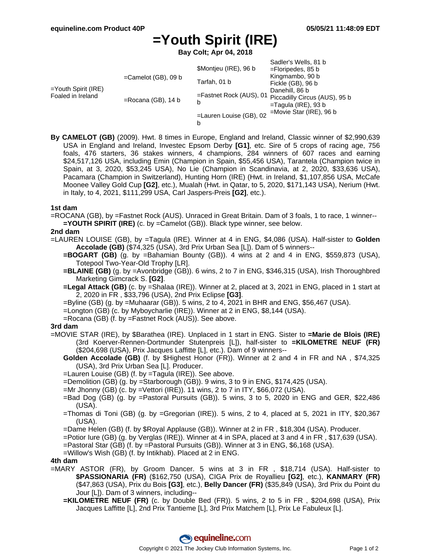# **=Youth Spirit (IRE)**

**Bay Colt; Apr 04, 2018**

|                                          |                        |                                 | Sadler's Wells, 81 b                                                      |
|------------------------------------------|------------------------|---------------------------------|---------------------------------------------------------------------------|
| =Youth Spirit (IRE)<br>Foaled in Ireland | $=$ Camelot (GB), 09 b | \$Montjeu (IRE), 96 b           | $=$ Floripedes, 85 b                                                      |
|                                          |                        | Tarfah, 01 b                    | Kingmambo, 90 b                                                           |
|                                          |                        |                                 | Fickle (GB), 96 b                                                         |
|                                          | $=$ Rocana (GB), 14 b  | $=$ Fastnet Rock (AUS), 01<br>b | Danehill, 86 b<br>Piccadilly Circus (AUS), 95 b<br>$=$ Tagula (IRE), 93 b |
|                                          |                        | $=$ Lauren Louise (GB), 02      | $=$ Movie Star (IRE), 96 b                                                |
|                                          |                        | b                               |                                                                           |

- 
- **By CAMELOT (GB)** (2009). Hwt. 8 times in Europe, England and Ireland, Classic winner of \$2,990,639 USA in England and Ireland, Investec Epsom Derby **[G1]**, etc. Sire of 5 crops of racing age, 756 foals, 476 starters, 36 stakes winners, 4 champions, 284 winners of 607 races and earning \$24,517,126 USA, including Emin (Champion in Spain, \$55,456 USA), Tarantela (Champion twice in Spain, at 3, 2020, \$53,245 USA), No Lie (Champion in Scandinavia, at 2, 2020, \$33,636 USA), Pacamara (Champion in Switzerland), Hunting Horn (IRE) (Hwt. in Ireland, \$1,107,856 USA, McCafe Moonee Valley Gold Cup **[G2]**, etc.), Mualah (Hwt. in Qatar, to 5, 2020, \$171,143 USA), Nerium (Hwt. in Italy, to 4, 2021, \$111,299 USA, Carl Jaspers-Preis **[G2]**, etc.).

## **1st dam**

=ROCANA (GB), by =Fastnet Rock (AUS). Unraced in Great Britain. Dam of 3 foals, 1 to race, 1 winner-- **=YOUTH SPIRIT (IRE)** (c. by =Camelot (GB)). Black type winner, see below.

## **2nd dam**

- =LAUREN LOUISE (GB), by =Tagula (IRE). Winner at 4 in ENG, \$4,086 (USA). Half-sister to **Golden Accolade (GB)** (\$74,325 (USA), 3rd Prix Urban Sea [L]). Dam of 5 winners--
	- **=BOGART (GB)** (g. by =Bahamian Bounty (GB)). 4 wins at 2 and 4 in ENG, \$559,873 (USA), Totepool Two-Year-Old Trophy [LR].
	- **=BLAINE (GB)** (g. by =Avonbridge (GB)). 6 wins, 2 to 7 in ENG, \$346,315 (USA), Irish Thoroughbred Marketing Gimcrack S. **[G2]**.
	- **=Legal Attack (GB)** (c. by =Shalaa (IRE)). Winner at 2, placed at 3, 2021 in ENG, placed in 1 start at 2, 2020 in FR , \$33,796 (USA), 2nd Prix Eclipse **[G3]**.
	- =Byline (GB) (g. by =Muhaarar (GB)). 5 wins, 2 to 4, 2021 in BHR and ENG, \$56,467 (USA).
	- =Longton (GB) (c. by Myboycharlie (IRE)). Winner at 2 in ENG, \$8,144 (USA).
	- =Rocana (GB) (f. by =Fastnet Rock (AUS)). See above.

#### **3rd dam**

- =MOVIE STAR (IRE), by \$Barathea (IRE). Unplaced in 1 start in ENG. Sister to **=Marie de Blois (IRE)** (3rd Koerver-Rennen-Dortmunder Stutenpreis [L]), half-sister to **=KILOMETRE NEUF (FR)** (\$204,698 (USA), Prix Jacques Laffitte [L], etc.). Dam of 9 winners--
	- **Golden Accolade (GB)** (f. by \$Highest Honor (FR)). Winner at 2 and 4 in FR and NA , \$74,325 (USA), 3rd Prix Urban Sea [L]. Producer.
	- =Lauren Louise (GB) (f. by =Tagula (IRE)). See above.
	- =Demolition (GB) (g. by =Starborough (GB)). 9 wins, 3 to 9 in ENG, \$174,425 (USA).
	- =Mr Jhonny (GB) (c. by =Vettori (IRE)). 11 wins, 2 to 7 in ITY, \$66,072 (USA).
	- =Bad Dog (GB) (g. by =Pastoral Pursuits (GB)). 5 wins, 3 to 5, 2020 in ENG and GER, \$22,486 (USA).
	- =Thomas di Toni (GB) (g. by =Gregorian (IRE)). 5 wins, 2 to 4, placed at 5, 2021 in ITY, \$20,367 (USA).
	- =Dame Helen (GB) (f. by \$Royal Applause (GB)). Winner at 2 in FR , \$18,304 (USA). Producer.
	- =Potior Iure (GB) (g. by Verglas (IRE)). Winner at 4 in SPA, placed at 3 and 4 in FR , \$17,639 (USA).
	- =Pastoral Star (GB) (f. by =Pastoral Pursuits (GB)). Winner at 3 in ENG, \$6,168 (USA).
	- =Willow's Wish (GB) (f. by Intikhab). Placed at 2 in ENG.

#### **4th dam**

- =MARY ASTOR (FR), by Groom Dancer. 5 wins at 3 in FR , \$18,714 (USA). Half-sister to **\$PASSIONARIA (FR)** (\$162,750 (USA), CIGA Prix de Royallieu **[G2]**, etc.), **KANMARY (FR)** (\$47,863 (USA), Prix du Bois **[G3]**, etc.), **Belly Dancer (FR)** (\$35,849 (USA), 3rd Prix du Point du Jour [L]). Dam of 3 winners, including--
	- **=KILOMETRE NEUF (FR)** (c. by Double Bed (FR)). 5 wins, 2 to 5 in FR , \$204,698 (USA), Prix Jacques Laffitte [L], 2nd Prix Tantieme [L], 3rd Prix Matchem [L], Prix Le Fabuleux [L].